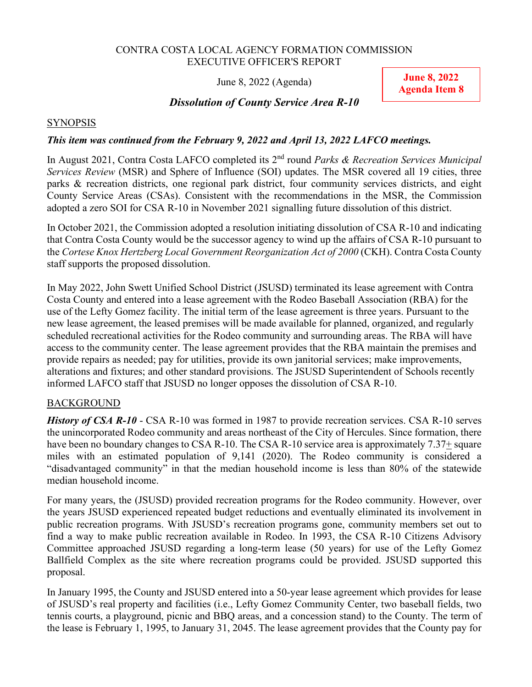#### CONTRA COSTA LOCAL AGENCY FORMATION COMMISSION EXECUTIVE OFFICER'S REPORT

June 8, 2022 (Agenda)

**June 8, 2022 Agenda Item 8** 

# *Dissolution of County Service Area R-10*

## **SYNOPSIS**

# *This item was continued from the February 9, 2022 and April 13, 2022 LAFCO meetings.*

In August 2021, Contra Costa LAFCO completed its 2nd round *Parks & Recreation Services Municipal Services Review* (MSR) and Sphere of Influence (SOI) updates. The MSR covered all 19 cities, three parks & recreation districts, one regional park district, four community services districts, and eight County Service Areas (CSAs). Consistent with the recommendations in the MSR, the Commission adopted a zero SOI for CSA R-10 in November 2021 signalling future dissolution of this district.

In October 2021, the Commission adopted a resolution initiating dissolution of CSA R-10 and indicating that Contra Costa County would be the successor agency to wind up the affairs of CSA R-10 pursuant to the *Cortese Knox Hertzberg Local Government Reorganization Act of 2000* (CKH). Contra Costa County staff supports the proposed dissolution.

In May 2022, John Swett Unified School District (JSUSD) terminated its lease agreement with Contra Costa County and entered into a lease agreement with the Rodeo Baseball Association (RBA) for the use of the Lefty Gomez facility. The initial term of the lease agreement is three years. Pursuant to the new lease agreement, the leased premises will be made available for planned, organized, and regularly scheduled recreational activities for the Rodeo community and surrounding areas. The RBA will have access to the community center. The lease agreement provides that the RBA maintain the premises and provide repairs as needed; pay for utilities, provide its own janitorial services; make improvements, alterations and fixtures; and other standard provisions. The JSUSD Superintendent of Schools recently informed LAFCO staff that JSUSD no longer opposes the dissolution of CSA R-10.

# BACKGROUND

*History of CSA R-10* - CSA R-10 was formed in 1987 to provide recreation services. CSA R-10 serves the unincorporated Rodeo community and areas northeast of the City of Hercules. Since formation, there have been no boundary changes to CSA R-10. The CSA R-10 service area is approximately 7.37+ square miles with an estimated population of 9,141 (2020). The Rodeo community is considered a "disadvantaged community" in that the median household income is less than 80% of the statewide median household income.

For many years, the (JSUSD) provided recreation programs for the Rodeo community. However, over the years JSUSD experienced repeated budget reductions and eventually eliminated its involvement in public recreation programs. With JSUSD's recreation programs gone, community members set out to find a way to make public recreation available in Rodeo. In 1993, the CSA R-10 Citizens Advisory Committee approached JSUSD regarding a long-term lease (50 years) for use of the Lefty Gomez Ballfield Complex as the site where recreation programs could be provided. JSUSD supported this proposal.

In January 1995, the County and JSUSD entered into a 50-year lease agreement which provides for lease of JSUSD's real property and facilities (i.e., Lefty Gomez Community Center, two baseball fields, two tennis courts, a playground, picnic and BBQ areas, and a concession stand) to the County. The term of the lease is February 1, 1995, to January 31, 2045. The lease agreement provides that the County pay for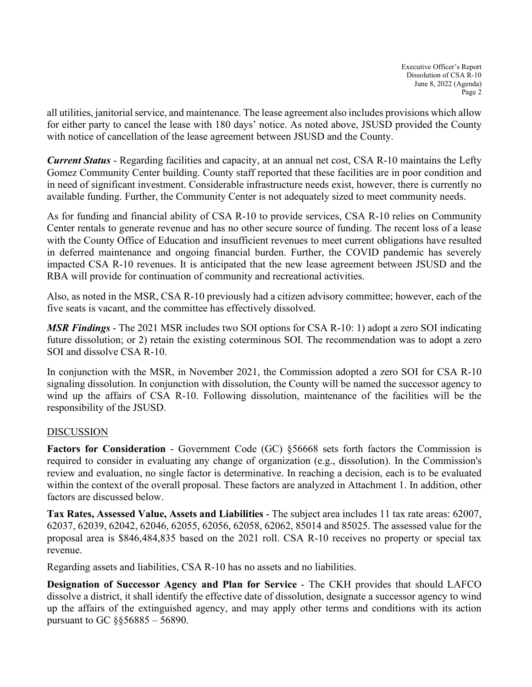all utilities, janitorial service, and maintenance. The lease agreement also includes provisions which allow for either party to cancel the lease with 180 days' notice. As noted above, JSUSD provided the County with notice of cancellation of the lease agreement between JSUSD and the County.

*Current Status* - Regarding facilities and capacity, at an annual net cost, CSA R-10 maintains the Lefty Gomez Community Center building. County staff reported that these facilities are in poor condition and in need of significant investment. Considerable infrastructure needs exist, however, there is currently no available funding. Further, the Community Center is not adequately sized to meet community needs.

As for funding and financial ability of CSA R-10 to provide services, CSA R-10 relies on Community Center rentals to generate revenue and has no other secure source of funding. The recent loss of a lease with the County Office of Education and insufficient revenues to meet current obligations have resulted in deferred maintenance and ongoing financial burden. Further, the COVID pandemic has severely impacted CSA R-10 revenues. It is anticipated that the new lease agreement between JSUSD and the RBA will provide for continuation of community and recreational activities.

Also, as noted in the MSR, CSA R-10 previously had a citizen advisory committee; however, each of the five seats is vacant, and the committee has effectively dissolved.

*MSR Findings* - The 2021 MSR includes two SOI options for CSA R-10: 1) adopt a zero SOI indicating future dissolution; or 2) retain the existing coterminous SOI. The recommendation was to adopt a zero SOI and dissolve CSA R-10.

In conjunction with the MSR, in November 2021, the Commission adopted a zero SOI for CSA R-10 signaling dissolution. In conjunction with dissolution, the County will be named the successor agency to wind up the affairs of CSA R-10. Following dissolution, maintenance of the facilities will be the responsibility of the JSUSD.

# DISCUSSION

**Factors for Consideration** - Government Code (GC) §56668 sets forth factors the Commission is required to consider in evaluating any change of organization (e.g., dissolution). In the Commission's review and evaluation, no single factor is determinative. In reaching a decision, each is to be evaluated within the context of the overall proposal. These factors are analyzed in Attachment 1. In addition, other factors are discussed below.

**Tax Rates, Assessed Value, Assets and Liabilities** - The subject area includes 11 tax rate areas: 62007, 62037, 62039, 62042, 62046, 62055, 62056, 62058, 62062, 85014 and 85025. The assessed value for the proposal area is \$846,484,835 based on the 2021 roll. CSA R-10 receives no property or special tax revenue.

Regarding assets and liabilities, CSA R-10 has no assets and no liabilities.

**Designation of Successor Agency and Plan for Service** - The CKH provides that should LAFCO dissolve a district, it shall identify the effective date of dissolution, designate a successor agency to wind up the affairs of the extinguished agency, and may apply other terms and conditions with its action pursuant to GC §§56885 – 56890.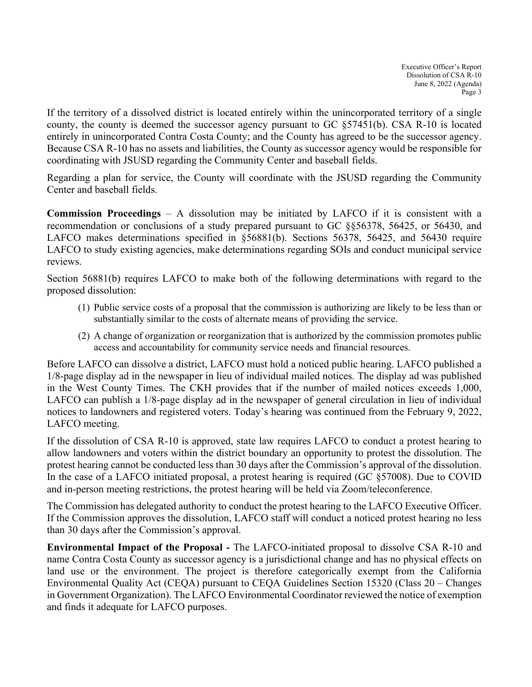If the territory of a dissolved district is located entirely within the unincorporated territory of a single county, the county is deemed the successor agency pursuant to GC §57451(b). CSA R-10 is located entirely in unincorporated Contra Costa County; and the County has agreed to be the successor agency. Because CSA R-10 has no assets and liabilities, the County as successor agency would be responsible for coordinating with JSUSD regarding the Community Center and baseball fields.

Regarding a plan for service, the County will coordinate with the JSUSD regarding the Community Center and baseball fields.

**Commission Proceedings** – A dissolution may be initiated by LAFCO if it is consistent with a recommendation or conclusions of a study prepared pursuant to GC §§56378, 56425, or 56430, and LAFCO makes determinations specified in §56881(b). Sections 56378, 56425, and 56430 require LAFCO to study existing agencies, make determinations regarding SOIs and conduct municipal service reviews.

Section 56881(b) requires LAFCO to make both of the following determinations with regard to the proposed dissolution:

- (1) Public service costs of a proposal that the commission is authorizing are likely to be less than or substantially similar to the costs of alternate means of providing the service.
- (2) A change of organization or reorganization that is authorized by the commission promotes public access and accountability for community service needs and financial resources.

Before LAFCO can dissolve a district, LAFCO must hold a noticed public hearing. LAFCO published a 1/8-page display ad in the newspaper in lieu of individual mailed notices. The display ad was published in the West County Times. The CKH provides that if the number of mailed notices exceeds 1,000, LAFCO can publish a 1/8-page display ad in the newspaper of general circulation in lieu of individual notices to landowners and registered voters. Today's hearing was continued from the February 9, 2022, LAFCO meeting.

If the dissolution of CSA R-10 is approved, state law requires LAFCO to conduct a protest hearing to allow landowners and voters within the district boundary an opportunity to protest the dissolution. The protest hearing cannot be conducted less than 30 days after the Commission's approval of the dissolution. In the case of a LAFCO initiated proposal, a protest hearing is required (GC §57008). Due to COVID and in-person meeting restrictions, the protest hearing will be held via Zoom/teleconference.

The Commission has delegated authority to conduct the protest hearing to the LAFCO Executive Officer. If the Commission approves the dissolution, LAFCO staff will conduct a noticed protest hearing no less than 30 days after the Commission's approval.

**Environmental Impact of the Proposal -** The LAFCO-initiated proposal to dissolve CSA R-10 and name Contra Costa County as successor agency is a jurisdictional change and has no physical effects on land use or the environment. The project is therefore categorically exempt from the California Environmental Quality Act (CEQA) pursuant to CEQA Guidelines Section 15320 (Class 20 – Changes in Government Organization). The LAFCO Environmental Coordinator reviewed the notice of exemption and finds it adequate for LAFCO purposes.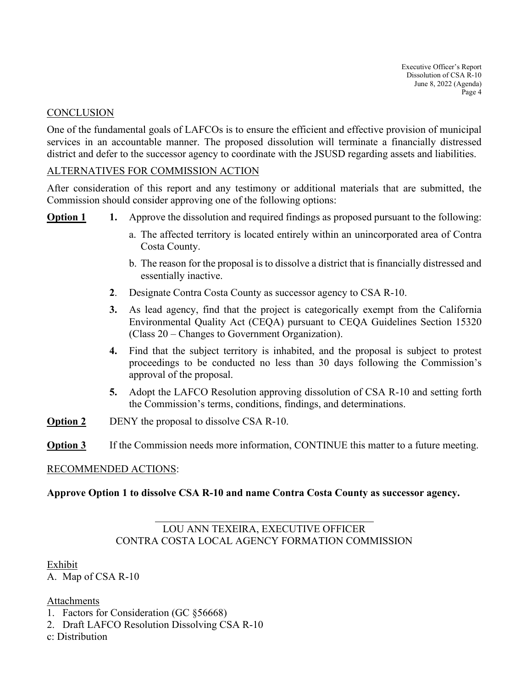Executive Officer's Report Dissolution of CSA R-10 June 8, 2022 (Agenda) Page 4

#### **CONCLUSION**

One of the fundamental goals of LAFCOs is to ensure the efficient and effective provision of municipal services in an accountable manner. The proposed dissolution will terminate a financially distressed district and defer to the successor agency to coordinate with the JSUSD regarding assets and liabilities.

#### ALTERNATIVES FOR COMMISSION ACTION

After consideration of this report and any testimony or additional materials that are submitted, the Commission should consider approving one of the following options:

- **Option 1 1.** Approve the dissolution and required findings as proposed pursuant to the following:
	- a. The affected territory is located entirely within an unincorporated area of Contra Costa County.
	- b. The reason for the proposal is to dissolve a district that is financially distressed and essentially inactive.
	- **2**. Designate Contra Costa County as successor agency to CSA R-10.
	- **3.** As lead agency, find that the project is categorically exempt from the California Environmental Quality Act (CEQA) pursuant to CEQA Guidelines Section 15320 (Class 20 – Changes to Government Organization).
	- **4.** Find that the subject territory is inhabited, and the proposal is subject to protest proceedings to be conducted no less than 30 days following the Commission's approval of the proposal.
	- **5.** Adopt the LAFCO Resolution approving dissolution of CSA R-10 and setting forth the Commission's terms, conditions, findings, and determinations.
- **Option 2** DENY the proposal to dissolve CSA R-10.
- **Option 3** If the Commission needs more information, CONTINUE this matter to a future meeting.

#### RECOMMENDED ACTIONS:

#### **Approve Option 1 to dissolve CSA R-10 and name Contra Costa County as successor agency.**

# $\overline{a}$ LOU ANN TEXEIRA, EXECUTIVE OFFICER CONTRA COSTA LOCAL AGENCY FORMATION COMMISSION

#### Exhibit

A. Map of CSA R-10

Attachments

- 1. Factors for Consideration (GC §56668)
- 2. Draft LAFCO Resolution Dissolving CSA R-10
- c: Distribution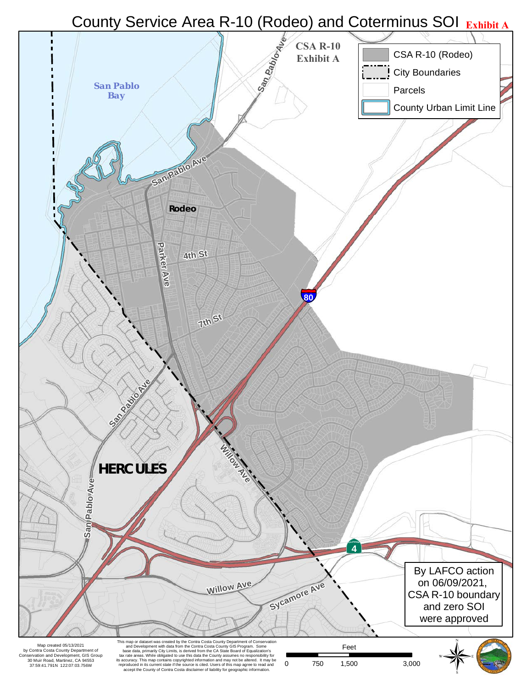# County Service Area R-10 (Rodeo) and Coterminus SOI **Exhibit A**

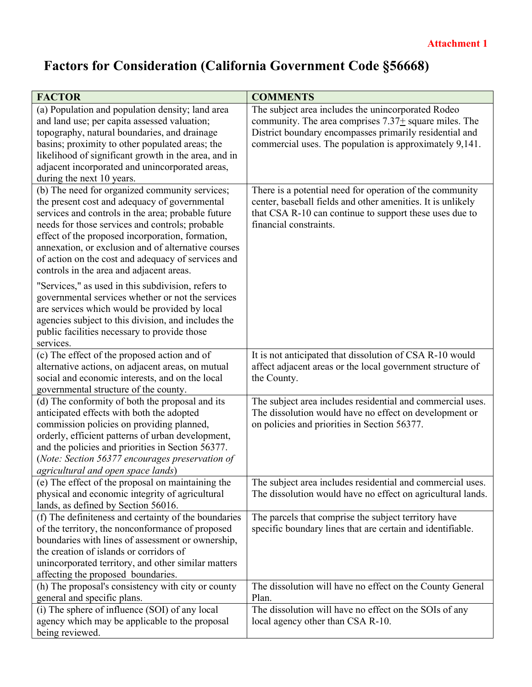# **Factors for Consideration (California Government Code §56668)**

| <b>FACTOR</b>                                                                                                                                                                                                                                                                                                                                | <b>COMMENTS</b>                                                                                                                                                                                              |
|----------------------------------------------------------------------------------------------------------------------------------------------------------------------------------------------------------------------------------------------------------------------------------------------------------------------------------------------|--------------------------------------------------------------------------------------------------------------------------------------------------------------------------------------------------------------|
| (a) Population and population density; land area                                                                                                                                                                                                                                                                                             | The subject area includes the unincorporated Rodeo                                                                                                                                                           |
| and land use; per capita assessed valuation;                                                                                                                                                                                                                                                                                                 | community. The area comprises $7.37\pm$ square miles. The                                                                                                                                                    |
| topography, natural boundaries, and drainage                                                                                                                                                                                                                                                                                                 | District boundary encompasses primarily residential and                                                                                                                                                      |
| basins; proximity to other populated areas; the                                                                                                                                                                                                                                                                                              | commercial uses. The population is approximately 9,141.                                                                                                                                                      |
| likelihood of significant growth in the area, and in                                                                                                                                                                                                                                                                                         |                                                                                                                                                                                                              |
| adjacent incorporated and unincorporated areas,                                                                                                                                                                                                                                                                                              |                                                                                                                                                                                                              |
| during the next 10 years.                                                                                                                                                                                                                                                                                                                    |                                                                                                                                                                                                              |
| (b) The need for organized community services;<br>the present cost and adequacy of governmental<br>services and controls in the area; probable future<br>needs for those services and controls; probable                                                                                                                                     | There is a potential need for operation of the community<br>center, baseball fields and other amenities. It is unlikely<br>that CSA R-10 can continue to support these uses due to<br>financial constraints. |
| effect of the proposed incorporation, formation,<br>annexation, or exclusion and of alternative courses                                                                                                                                                                                                                                      |                                                                                                                                                                                                              |
| of action on the cost and adequacy of services and<br>controls in the area and adjacent areas.                                                                                                                                                                                                                                               |                                                                                                                                                                                                              |
| "Services," as used in this subdivision, refers to<br>governmental services whether or not the services<br>are services which would be provided by local<br>agencies subject to this division, and includes the<br>public facilities necessary to provide those<br>services.                                                                 |                                                                                                                                                                                                              |
| (c) The effect of the proposed action and of                                                                                                                                                                                                                                                                                                 | It is not anticipated that dissolution of CSA R-10 would                                                                                                                                                     |
| alternative actions, on adjacent areas, on mutual                                                                                                                                                                                                                                                                                            | affect adjacent areas or the local government structure of                                                                                                                                                   |
| social and economic interests, and on the local                                                                                                                                                                                                                                                                                              | the County.                                                                                                                                                                                                  |
| governmental structure of the county.                                                                                                                                                                                                                                                                                                        |                                                                                                                                                                                                              |
| (d) The conformity of both the proposal and its<br>anticipated effects with both the adopted<br>commission policies on providing planned,<br>orderly, efficient patterns of urban development,<br>and the policies and priorities in Section 56377.<br>(Note: Section 56377 encourages preservation of<br>agricultural and open space lands) | The subject area includes residential and commercial uses.<br>The dissolution would have no effect on development or<br>on policies and priorities in Section 56377.                                         |
| (e) The effect of the proposal on maintaining the                                                                                                                                                                                                                                                                                            | The subject area includes residential and commercial uses.                                                                                                                                                   |
| physical and economic integrity of agricultural<br>lands, as defined by Section 56016.                                                                                                                                                                                                                                                       | The dissolution would have no effect on agricultural lands.                                                                                                                                                  |
| (f) The definiteness and certainty of the boundaries<br>of the territory, the nonconformance of proposed<br>boundaries with lines of assessment or ownership,<br>the creation of islands or corridors of<br>unincorporated territory, and other similar matters<br>affecting the proposed boundaries.                                        | The parcels that comprise the subject territory have<br>specific boundary lines that are certain and identifiable.                                                                                           |
| (h) The proposal's consistency with city or county                                                                                                                                                                                                                                                                                           | The dissolution will have no effect on the County General                                                                                                                                                    |
| general and specific plans.                                                                                                                                                                                                                                                                                                                  | Plan.                                                                                                                                                                                                        |
| (i) The sphere of influence (SOI) of any local                                                                                                                                                                                                                                                                                               | The dissolution will have no effect on the SOIs of any                                                                                                                                                       |
| agency which may be applicable to the proposal                                                                                                                                                                                                                                                                                               | local agency other than CSA R-10.                                                                                                                                                                            |
| being reviewed.                                                                                                                                                                                                                                                                                                                              |                                                                                                                                                                                                              |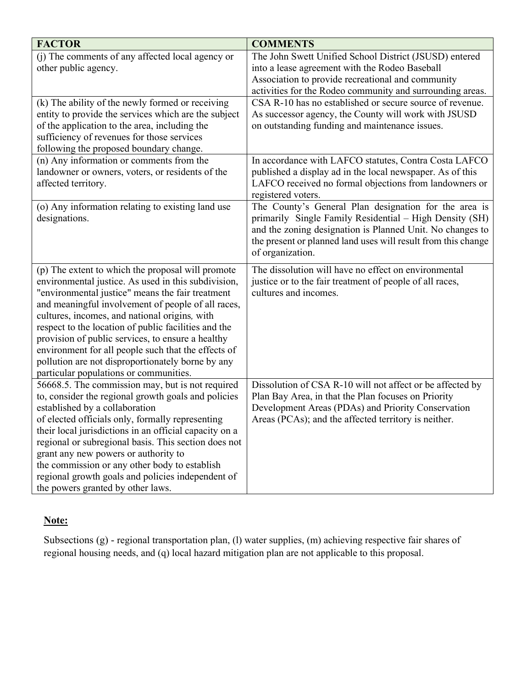| <b>FACTOR</b>                                                                                                                                                                                                                                                                                                                                                                                                                                                                                                                          | <b>COMMENTS</b>                                                                                                                                                                                                                                                    |
|----------------------------------------------------------------------------------------------------------------------------------------------------------------------------------------------------------------------------------------------------------------------------------------------------------------------------------------------------------------------------------------------------------------------------------------------------------------------------------------------------------------------------------------|--------------------------------------------------------------------------------------------------------------------------------------------------------------------------------------------------------------------------------------------------------------------|
| (j) The comments of any affected local agency or<br>other public agency.                                                                                                                                                                                                                                                                                                                                                                                                                                                               | The John Swett Unified School District (JSUSD) entered<br>into a lease agreement with the Rodeo Baseball<br>Association to provide recreational and community<br>activities for the Rodeo community and surrounding areas.                                         |
| (k) The ability of the newly formed or receiving<br>entity to provide the services which are the subject<br>of the application to the area, including the<br>sufficiency of revenues for those services<br>following the proposed boundary change.                                                                                                                                                                                                                                                                                     | CSA R-10 has no established or secure source of revenue.<br>As successor agency, the County will work with JSUSD<br>on outstanding funding and maintenance issues.                                                                                                 |
| (n) Any information or comments from the<br>landowner or owners, voters, or residents of the<br>affected territory.                                                                                                                                                                                                                                                                                                                                                                                                                    | In accordance with LAFCO statutes, Contra Costa LAFCO<br>published a display ad in the local newspaper. As of this<br>LAFCO received no formal objections from landowners or<br>registered voters.                                                                 |
| (o) Any information relating to existing land use<br>designations.                                                                                                                                                                                                                                                                                                                                                                                                                                                                     | The County's General Plan designation for the area is<br>primarily Single Family Residential – High Density (SH)<br>and the zoning designation is Planned Unit. No changes to<br>the present or planned land uses will result from this change<br>of organization. |
| (p) The extent to which the proposal will promote<br>environmental justice. As used in this subdivision,<br>"environmental justice" means the fair treatment<br>and meaningful involvement of people of all races,<br>cultures, incomes, and national origins, with<br>respect to the location of public facilities and the<br>provision of public services, to ensure a healthy<br>environment for all people such that the effects of<br>pollution are not disproportionately borne by any<br>particular populations or communities. | The dissolution will have no effect on environmental<br>justice or to the fair treatment of people of all races,<br>cultures and incomes.                                                                                                                          |
| 56668.5. The commission may, but is not required<br>to, consider the regional growth goals and policies<br>established by a collaboration<br>of elected officials only, formally representing<br>their local jurisdictions in an official capacity on a<br>regional or subregional basis. This section does not<br>grant any new powers or authority to<br>the commission or any other body to establish<br>regional growth goals and policies independent of<br>the powers granted by other laws.                                     | Dissolution of CSA R-10 will not affect or be affected by<br>Plan Bay Area, in that the Plan focuses on Priority<br>Development Areas (PDAs) and Priority Conservation<br>Areas (PCAs); and the affected territory is neither.                                     |

# **Note:**

Subsections (g) - regional transportation plan, (l) water supplies, (m) achieving respective fair shares of regional housing needs, and (q) local hazard mitigation plan are not applicable to this proposal.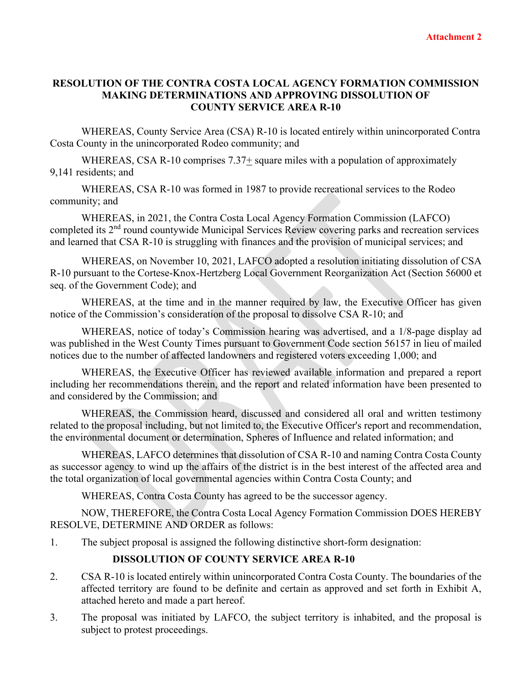## **RESOLUTION OF THE CONTRA COSTA LOCAL AGENCY FORMATION COMMISSION MAKING DETERMINATIONS AND APPROVING DISSOLUTION OF COUNTY SERVICE AREA R-10**

WHEREAS, County Service Area (CSA) R-10 is located entirely within unincorporated Contra Costa County in the unincorporated Rodeo community; and

WHEREAS, CSA R-10 comprises  $7.37\pm$  square miles with a population of approximately 9,141 residents; and

WHEREAS, CSA R-10 was formed in 1987 to provide recreational services to the Rodeo community; and

WHEREAS, in 2021, the Contra Costa Local Agency Formation Commission (LAFCO) completed its 2nd round countywide Municipal Services Review covering parks and recreation services and learned that CSA R-10 is struggling with finances and the provision of municipal services; and

WHEREAS, on November 10, 2021, LAFCO adopted a resolution initiating dissolution of CSA R-10 pursuant to the Cortese-Knox-Hertzberg Local Government Reorganization Act (Section 56000 et seq. of the Government Code); and

WHEREAS, at the time and in the manner required by law, the Executive Officer has given notice of the Commission's consideration of the proposal to dissolve CSA R-10; and

WHEREAS, notice of today's Commission hearing was advertised, and a 1/8-page display ad was published in the West County Times pursuant to Government Code section 56157 in lieu of mailed notices due to the number of affected landowners and registered voters exceeding 1,000; and

WHEREAS, the Executive Officer has reviewed available information and prepared a report including her recommendations therein, and the report and related information have been presented to and considered by the Commission; and

WHEREAS, the Commission heard, discussed and considered all oral and written testimony related to the proposal including, but not limited to, the Executive Officer's report and recommendation, the environmental document or determination, Spheres of Influence and related information; and

WHEREAS, LAFCO determines that dissolution of CSA R-10 and naming Contra Costa County as successor agency to wind up the affairs of the district is in the best interest of the affected area and the total organization of local governmental agencies within Contra Costa County; and

WHEREAS, Contra Costa County has agreed to be the successor agency.

NOW, THEREFORE, the Contra Costa Local Agency Formation Commission DOES HEREBY RESOLVE, DETERMINE AND ORDER as follows:

1. The subject proposal is assigned the following distinctive short-form designation:

# **DISSOLUTION OF COUNTY SERVICE AREA R-10**

- 2. CSA R-10 is located entirely within unincorporated Contra Costa County. The boundaries of the affected territory are found to be definite and certain as approved and set forth in Exhibit A, attached hereto and made a part hereof.
- 3. The proposal was initiated by LAFCO, the subject territory is inhabited, and the proposal is subject to protest proceedings.